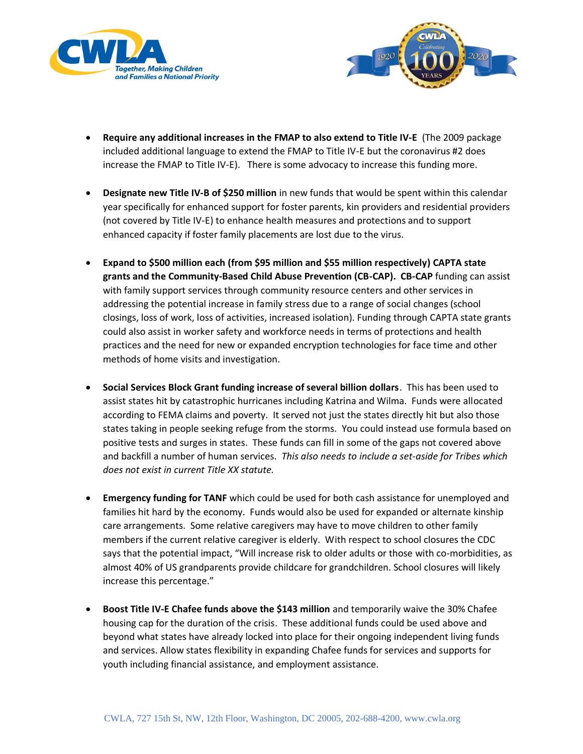



- **Require any additional increases in the FMAP to also extend to Title IV-E** (The 2009 package included additional language to extend the FMAP to Title IV-E but the coronavirus #2 does increase the FMAP to Title IV-E). There is some advocacy to increase this funding more.
- **Designate new Title IV-B of \$250 million** in new funds that would be spent within this calendar year specifically for enhanced support for foster parents, kin providers and residential providers (not covered by Title IV-E) to enhance health measures and protections and to support enhanced capacity if foster family placements are lost due to the virus.
- **Expand to \$500 million each (from \$95 million and \$55 million respectively) CAPTA state grants and the Community-Based Child Abuse Prevention (CB-CAP). CB-CAP** funding can assist with family support services through community resource centers and other services in addressing the potential increase in family stress due to a range of social changes (school closings, loss of work, loss of activities, increased isolation). Funding through CAPTA state grants could also assist in worker safety and workforce needs in terms of protections and health practices and the need for new or expanded encryption technologies for face time and other methods of home visits and investigation.
- **Social Services Block Grant funding increase of several billion dollars**. This has been used to assist states hit by catastrophic hurricanes including Katrina and Wilma. Funds were allocated according to FEMA claims and poverty. It served not just the states directly hit but also those states taking in people seeking refuge from the storms. You could instead use formula based on positive tests and surges in states. These funds can fill in some of the gaps not covered above and backfill a number of human services. *This also needs to include a set-aside for Tribes which does not exist in current Title XX statute.*
- **Emergency funding for TANF** which could be used for both cash assistance for unemployed and families hit hard by the economy. Funds would also be used for expanded or alternate kinship care arrangements. Some relative caregivers may have to move children to other family members if the current relative caregiver is elderly. With respect to school closures the CDC says that the potential impact, "Will increase risk to older adults or those with co-morbidities, as almost 40% of US grandparents provide childcare for grandchildren. School closures will likely increase this percentage."
- **Boost Title IV-E Chafee funds above the \$143 million** and temporarily waive the 30% Chafee housing cap for the duration of the crisis. These additional funds could be used above and beyond what states have already locked into place for their ongoing independent living funds and services. Allow states flexibility in expanding Chafee funds for services and supports for youth including financial assistance, and employment assistance.